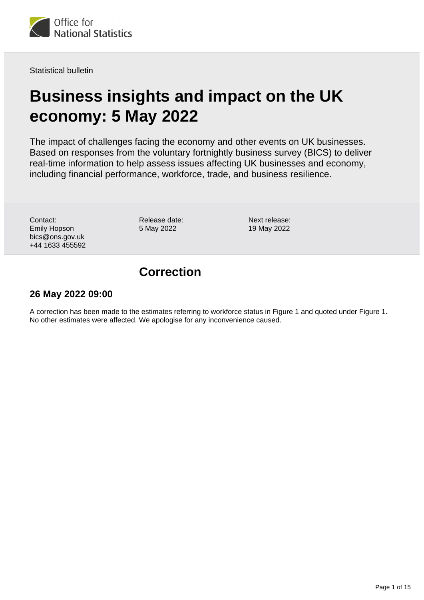

Statistical bulletin

# **Business insights and impact on the UK economy: 5 May 2022**

The impact of challenges facing the economy and other events on UK businesses. Based on responses from the voluntary fortnightly business survey (BICS) to deliver real-time information to help assess issues affecting UK businesses and economy, including financial performance, workforce, trade, and business resilience.

Contact: Emily Hopson bics@ons.gov.uk +44 1633 455592 Release date: 5 May 2022

Next release: 19 May 2022

# **Correction**

## **26 May 2022 09:00**

A correction has been made to the estimates referring to workforce status in Figure 1 and quoted under Figure 1. No other estimates were affected. We apologise for any inconvenience caused.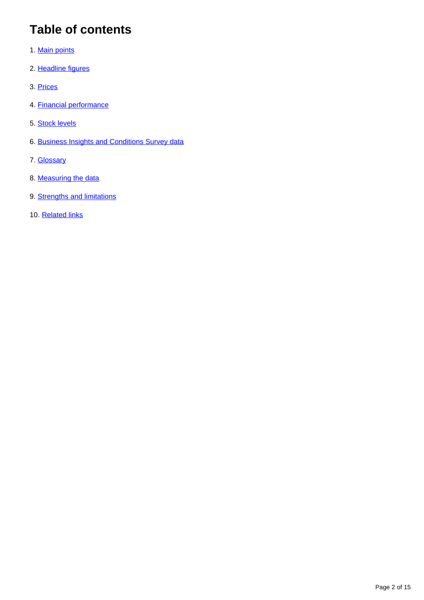# **Table of contents**

- 1. [Main points](#page-2-0)
- 2. [Headline figures](#page-2-1)
- 3. [Prices](#page-3-0)
- 4. [Financial performance](#page-9-0)
- 5. [Stock levels](#page-10-0)
- 6. [Business Insights and Conditions Survey data](#page-12-0)
- 7. [Glossary](#page-12-1)
- 8. [Measuring the data](#page-13-0)
- 9. [Strengths and limitations](#page-14-0)
- 10. [Related links](#page-14-1)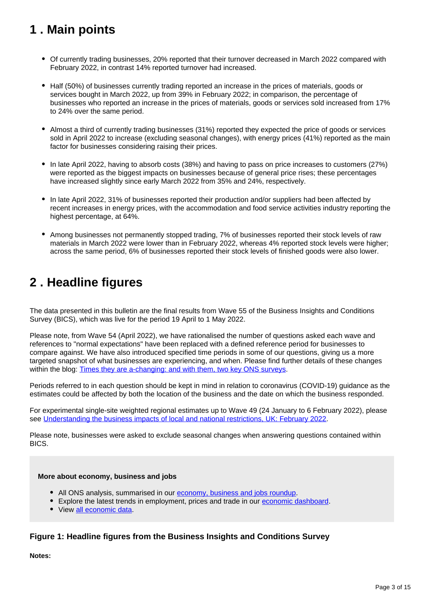# <span id="page-2-0"></span>**1 . Main points**

- Of currently trading businesses, 20% reported that their turnover decreased in March 2022 compared with February 2022, in contrast 14% reported turnover had increased.
- Half (50%) of businesses currently trading reported an increase in the prices of materials, goods or services bought in March 2022, up from 39% in February 2022; in comparison, the percentage of businesses who reported an increase in the prices of materials, goods or services sold increased from 17% to 24% over the same period.
- Almost a third of currently trading businesses (31%) reported they expected the price of goods or services sold in April 2022 to increase (excluding seasonal changes), with energy prices (41%) reported as the main factor for businesses considering raising their prices.
- In late April 2022, having to absorb costs (38%) and having to pass on price increases to customers (27%) were reported as the biggest impacts on businesses because of general price rises; these percentages have increased slightly since early March 2022 from 35% and 24%, respectively.
- In late April 2022, 31% of businesses reported their production and/or suppliers had been affected by recent increases in energy prices, with the accommodation and food service activities industry reporting the highest percentage, at 64%.
- Among businesses not permanently stopped trading, 7% of businesses reported their stock levels of raw materials in March 2022 were lower than in February 2022, whereas 4% reported stock levels were higher; across the same period, 6% of businesses reported their stock levels of finished goods were also lower.

# <span id="page-2-1"></span>**2 . Headline figures**

The data presented in this bulletin are the final results from Wave 55 of the Business Insights and Conditions Survey (BICS), which was live for the period 19 April to 1 May 2022.

Please note, from Wave 54 (April 2022), we have rationalised the number of questions asked each wave and references to "normal expectations" have been replaced with a defined reference period for businesses to compare against. We have also introduced specified time periods in some of our questions, giving us a more targeted snapshot of what businesses are experiencing, and when. Please find further details of these changes within the blog: [Times they are a-changing: and with them, two key ONS surveys.](https://blog.ons.gov.uk/2022/04/14/times-they-are-a-changing-and-with-them-two-key-ons-surveys/)

Periods referred to in each question should be kept in mind in relation to coronavirus (COVID-19) guidance as the estimates could be affected by both the location of the business and the date on which the business responded.

For experimental single-site weighted regional estimates up to Wave 49 (24 January to 6 February 2022), please see [Understanding the business impacts of local and national restrictions, UK: February 2022](https://www.ons.gov.uk/businessindustryandtrade/business/businessservices/articles/businessinsightsandimpactontheukandsubnationaleconomy/february2022).

Please note, businesses were asked to exclude seasonal changes when answering questions contained within BICS.

### **More about economy, business and jobs**

- All ONS analysis, summarised in our [economy, business and jobs roundup.](https://www.ons.gov.uk/economy/economicoutputandproductivity/output/articles/ukeconomylatest/2021-01-25)
- Explore the latest trends in employment, prices and trade in our [economic dashboard.](https://www.ons.gov.uk/economy/nationalaccounts/articles/dashboardunderstandingtheukeconomy/2017-02-22)
- View [all economic data](https://www.ons.gov.uk/economy/datalist?filter=datasets).

### **Figure 1: Headline figures from the Business Insights and Conditions Survey**

**Notes:**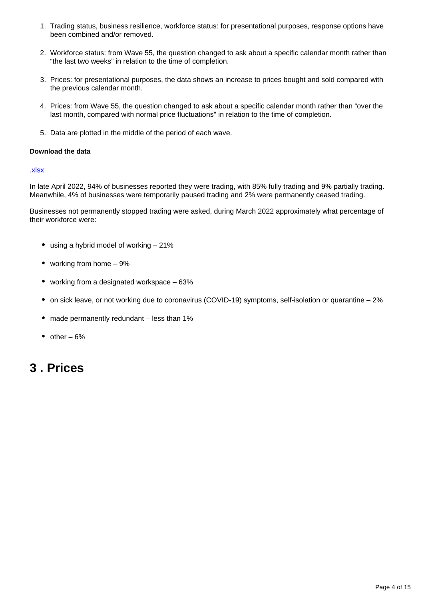- 1. Trading status, business resilience, workforce status: for presentational purposes, response options have been combined and/or removed.
- 2. Workforce status: from Wave 55, the question changed to ask about a specific calendar month rather than "the last two weeks" in relation to the time of completion.
- 3. Prices: for presentational purposes, the data shows an increase to prices bought and sold compared with the previous calendar month.
- 4. Prices: from Wave 55, the question changed to ask about a specific calendar month rather than "over the last month, compared with normal price fluctuations" in relation to the time of completion.
- 5. Data are plotted in the middle of the period of each wave.

### **Download the data**

### [.xlsx](https://www.ons.gov.uk/visualisations/dvc1952/dashboard/datadownload.xlsx)

In late April 2022, 94% of businesses reported they were trading, with 85% fully trading and 9% partially trading. Meanwhile, 4% of businesses were temporarily paused trading and 2% were permanently ceased trading.

Businesses not permanently stopped trading were asked, during March 2022 approximately what percentage of their workforce were:

- using a hybrid model of working  $-21\%$
- working from home 9%
- working from a designated workspace 63%
- on sick leave, or not working due to coronavirus (COVID-19) symptoms, self-isolation or quarantine 2%
- made permanently redundant less than 1%
- $\bullet$  other 6%

## <span id="page-3-0"></span>**3 . Prices**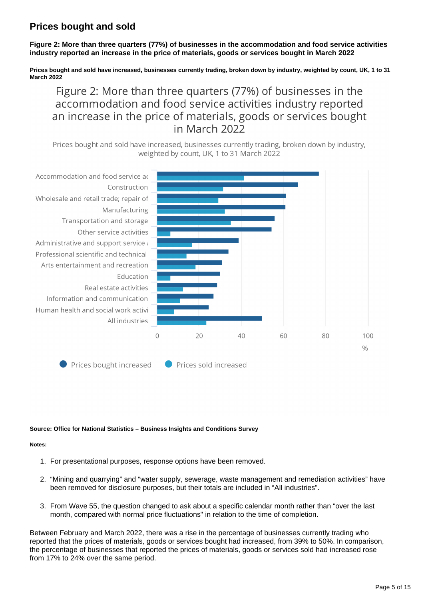## **Prices bought and sold**

**Figure 2: More than three quarters (77%) of businesses in the accommodation and food service activities industry reported an increase in the price of materials, goods or services bought in March 2022**

**Prices bought and sold have increased, businesses currently trading, broken down by industry, weighted by count, UK, 1 to 31 March 2022**

Figure 2: More than three quarters (77%) of businesses in the accommodation and food service activities industry reported an increase in the price of materials, goods or services bought in March 2022

Prices bought and sold have increased, businesses currently trading, broken down by industry, weighted by count, UK, 1 to 31 March 2022



### **Source: Office for National Statistics – Business Insights and Conditions Survey**

### **Notes:**

- 1. For presentational purposes, response options have been removed.
- 2. "Mining and quarrying" and "water supply, sewerage, waste management and remediation activities" have been removed for disclosure purposes, but their totals are included in "All industries".
- 3. From Wave 55, the question changed to ask about a specific calendar month rather than "over the last month, compared with normal price fluctuations" in relation to the time of completion.

Between February and March 2022, there was a rise in the percentage of businesses currently trading who reported that the prices of materials, goods or services bought had increased, from 39% to 50%. In comparison, the percentage of businesses that reported the prices of materials, goods or services sold had increased rose from 17% to 24% over the same period.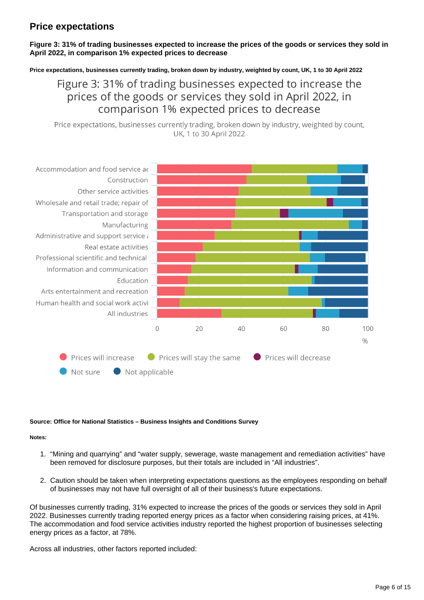## **Price expectations**

### **Figure 3: 31% of trading businesses expected to increase the prices of the goods or services they sold in April 2022, in comparison 1% expected prices to decrease**

**Price expectations, businesses currently trading, broken down by industry, weighted by count, UK, 1 to 30 April 2022**

## Figure 3: 31% of trading businesses expected to increase the prices of the goods or services they sold in April 2022, in comparison 1% expected prices to decrease

Price expectations, businesses currently trading, broken down by industry, weighted by count, UK. 1 to 30 April 2022



### **Source: Office for National Statistics – Business Insights and Conditions Survey**

#### **Notes:**

- 1. "Mining and quarrying" and "water supply, sewerage, waste management and remediation activities" have been removed for disclosure purposes, but their totals are included in "All industries".
- 2. Caution should be taken when interpreting expectations questions as the employees responding on behalf of businesses may not have full oversight of all of their business's future expectations.

Of businesses currently trading, 31% expected to increase the prices of the goods or services they sold in April 2022. Businesses currently trading reported energy prices as a factor when considering raising prices, at 41%. The accommodation and food service activities industry reported the highest proportion of businesses selecting energy prices as a factor, at 78%.

Across all industries, other factors reported included: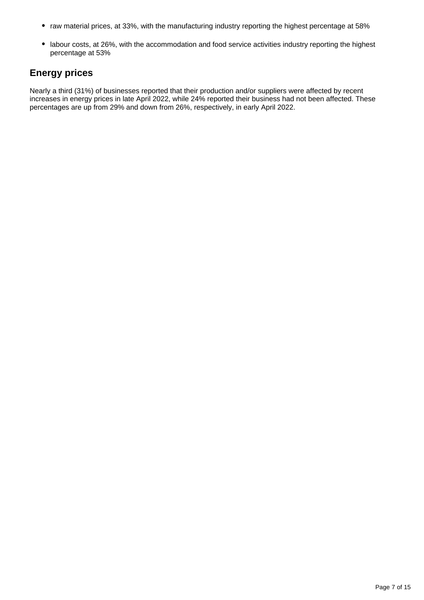- raw material prices, at 33%, with the manufacturing industry reporting the highest percentage at 58%
- labour costs, at 26%, with the accommodation and food service activities industry reporting the highest percentage at 53%

## **Energy prices**

Nearly a third (31%) of businesses reported that their production and/or suppliers were affected by recent increases in energy prices in late April 2022, while 24% reported their business had not been affected. These percentages are up from 29% and down from 26%, respectively, in early April 2022.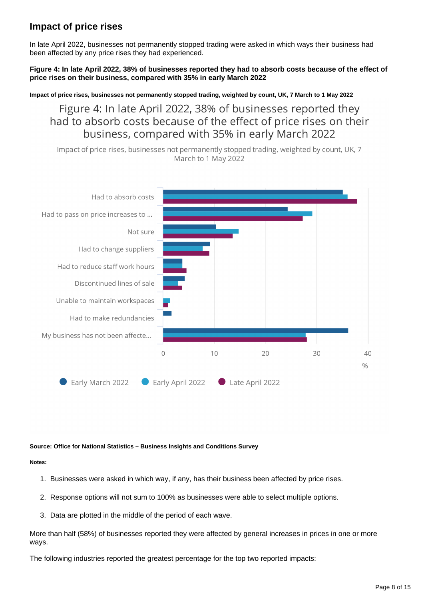## **Impact of price rises**

In late April 2022, businesses not permanently stopped trading were asked in which ways their business had been affected by any price rises they had experienced.

**Figure 4: In late April 2022, 38% of businesses reported they had to absorb costs because of the effect of price rises on their business, compared with 35% in early March 2022**

**Impact of price rises, businesses not permanently stopped trading, weighted by count, UK, 7 March to 1 May 2022**

Figure 4: In late April 2022, 38% of businesses reported they had to absorb costs because of the effect of price rises on their business, compared with 35% in early March 2022

Impact of price rises, businesses not permanently stopped trading, weighted by count, UK, 7 March to 1 May 2022



### **Source: Office for National Statistics – Business Insights and Conditions Survey**

**Notes:**

- 1. Businesses were asked in which way, if any, has their business been affected by price rises.
- 2. Response options will not sum to 100% as businesses were able to select multiple options.
- 3. Data are plotted in the middle of the period of each wave.

More than half (58%) of businesses reported they were affected by general increases in prices in one or more ways.

The following industries reported the greatest percentage for the top two reported impacts: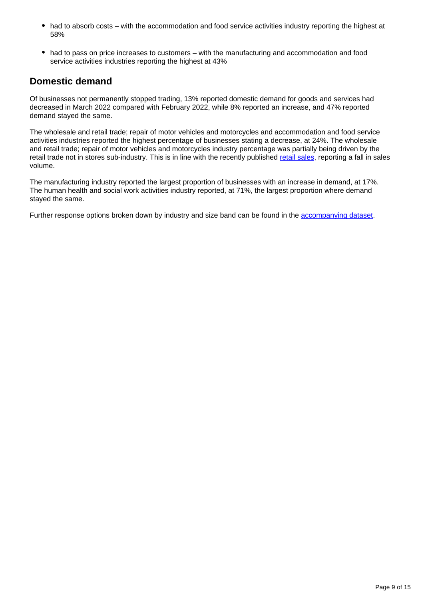- had to absorb costs with the accommodation and food service activities industry reporting the highest at 58%
- had to pass on price increases to customers with the manufacturing and accommodation and food service activities industries reporting the highest at 43%

## **Domestic demand**

Of businesses not permanently stopped trading, 13% reported domestic demand for goods and services had decreased in March 2022 compared with February 2022, while 8% reported an increase, and 47% reported demand stayed the same.

The wholesale and retail trade; repair of motor vehicles and motorcycles and accommodation and food service activities industries reported the highest percentage of businesses stating a decrease, at 24%. The wholesale and retail trade; repair of motor vehicles and motorcycles industry percentage was partially being driven by the retail trade not in stores sub-industry. This is in line with the recently published [retail sales](https://www.ons.gov.uk/businessindustryandtrade/retailindustry/bulletins/retailsales/march2022), reporting a fall in sales volume.

The manufacturing industry reported the largest proportion of businesses with an increase in demand, at 17%. The human health and social work activities industry reported, at 71%, the largest proportion where demand stayed the same.

Further response options broken down by industry and size band can be found in the [accompanying dataset.](https://www.ons.gov.uk/economy/economicoutputandproductivity/output/datasets/businessinsightsandimpactontheukeconomy)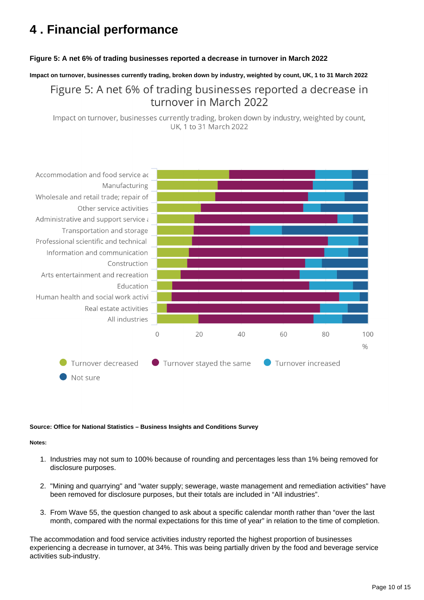# <span id="page-9-0"></span>**4 . Financial performance**

### **Figure 5: A net 6% of trading businesses reported a decrease in turnover in March 2022**

**Impact on turnover, businesses currently trading, broken down by industry, weighted by count, UK, 1 to 31 March 2022**

Figure 5: A net 6% of trading businesses reported a decrease in turnover in March 2022

Impact on turnover, businesses currently trading, broken down by industry, weighted by count, UK. 1 to 31 March 2022



### **Source: Office for National Statistics – Business Insights and Conditions Survey**

#### **Notes:**

- 1. Industries may not sum to 100% because of rounding and percentages less than 1% being removed for disclosure purposes.
- 2. "Mining and quarrying" and "water supply; sewerage, waste management and remediation activities" have been removed for disclosure purposes, but their totals are included in "All industries".
- 3. From Wave 55, the question changed to ask about a specific calendar month rather than "over the last month, compared with the normal expectations for this time of year" in relation to the time of completion.

The accommodation and food service activities industry reported the highest proportion of businesses experiencing a decrease in turnover, at 34%. This was being partially driven by the food and beverage service activities sub-industry.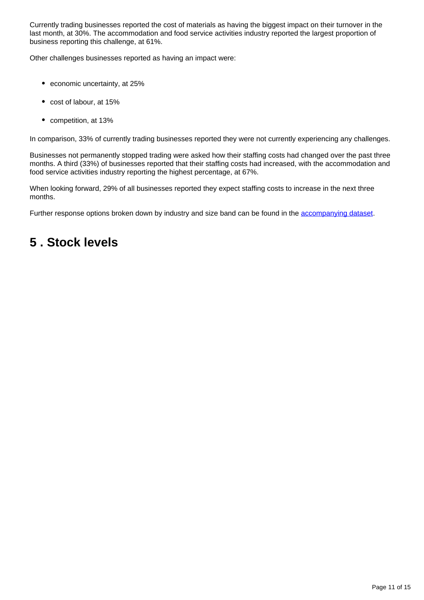Currently trading businesses reported the cost of materials as having the biggest impact on their turnover in the last month, at 30%. The accommodation and food service activities industry reported the largest proportion of business reporting this challenge, at 61%.

Other challenges businesses reported as having an impact were:

- economic uncertainty, at 25%
- cost of labour, at 15%
- competition, at 13%

In comparison, 33% of currently trading businesses reported they were not currently experiencing any challenges.

Businesses not permanently stopped trading were asked how their staffing costs had changed over the past three months. A third (33%) of businesses reported that their staffing costs had increased, with the accommodation and food service activities industry reporting the highest percentage, at 67%.

When looking forward, 29% of all businesses reported they expect staffing costs to increase in the next three months.

Further response options broken down by industry and size band can be found in the [accompanying dataset.](https://www.ons.gov.uk/economy/economicoutputandproductivity/output/datasets/businessinsightsandimpactontheukeconomy)

# <span id="page-10-0"></span>**5 . Stock levels**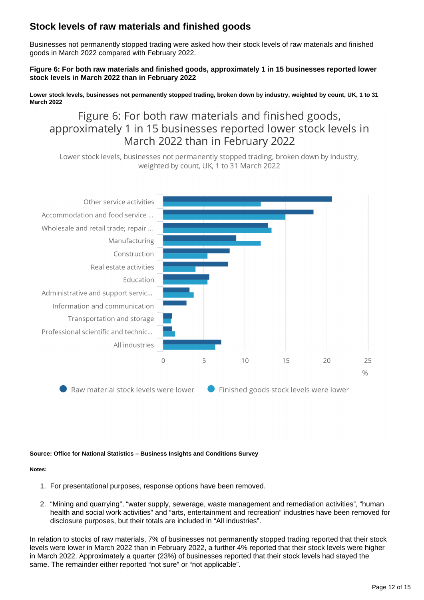## **Stock levels of raw materials and finished goods**

Businesses not permanently stopped trading were asked how their stock levels of raw materials and finished goods in March 2022 compared with February 2022.

### **Figure 6: For both raw materials and finished goods, approximately 1 in 15 businesses reported lower stock levels in March 2022 than in February 2022**

**Lower stock levels, businesses not permanently stopped trading, broken down by industry, weighted by count, UK, 1 to 31 March 2022**

## Figure 6: For both raw materials and finished goods, approximately 1 in 15 businesses reported lower stock levels in March 2022 than in February 2022

Lower stock levels, businesses not permanently stopped trading, broken down by industry, weighted by count, UK, 1 to 31 March 2022



Raw material stock levels were lower Finished goods stock levels were lower

### **Source: Office for National Statistics – Business Insights and Conditions Survey**

### **Notes:**

- 1. For presentational purposes, response options have been removed.
- 2. "Mining and quarrying", "water supply, sewerage, waste management and remediation activities", "human health and social work activities" and "arts, entertainment and recreation" industries have been removed for disclosure purposes, but their totals are included in "All industries".

In relation to stocks of raw materials, 7% of businesses not permanently stopped trading reported that their stock levels were lower in March 2022 than in February 2022, a further 4% reported that their stock levels were higher in March 2022. Approximately a quarter (23%) of businesses reported that their stock levels had stayed the same. The remainder either reported "not sure" or "not applicable".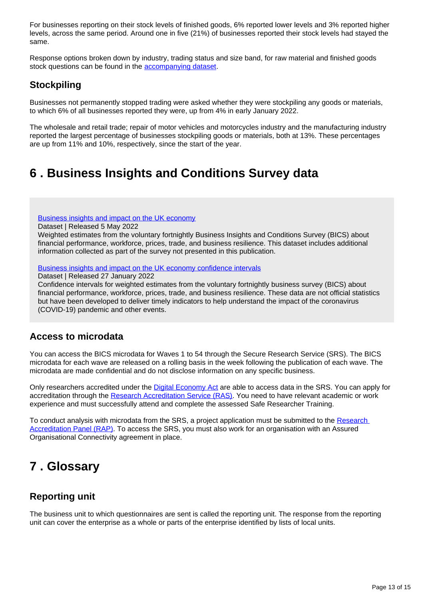For businesses reporting on their stock levels of finished goods, 6% reported lower levels and 3% reported higher levels, across the same period. Around one in five (21%) of businesses reported their stock levels had stayed the same.

Response options broken down by industry, trading status and size band, for raw material and finished goods stock questions can be found in the **accompanying dataset**.

## **Stockpiling**

Businesses not permanently stopped trading were asked whether they were stockpiling any goods or materials, to which 6% of all businesses reported they were, up from 4% in early January 2022.

The wholesale and retail trade; repair of motor vehicles and motorcycles industry and the manufacturing industry reported the largest percentage of businesses stockpiling goods or materials, both at 13%. These percentages are up from 11% and 10%, respectively, since the start of the year.

# <span id="page-12-0"></span>**6 . Business Insights and Conditions Survey data**

[Business insights and impact on the UK economy](https://www.ons.gov.uk/economy/economicoutputandproductivity/output/datasets/businessinsightsandimpactontheukeconomy)

Dataset | Released 5 May 2022

Weighted estimates from the voluntary fortnightly Business Insights and Conditions Survey (BICS) about financial performance, workforce, prices, trade, and business resilience. This dataset includes additional information collected as part of the survey not presented in this publication.

### [Business insights and impact on the UK economy confidence intervals](https://www.ons.gov.uk/economy/economicoutputandproductivity/output/datasets/businessinsightsandimpactontheukeconomyconfidenceintervals)

Dataset | Released 27 January 2022

Confidence intervals for weighted estimates from the voluntary fortnightly business survey (BICS) about financial performance, workforce, prices, trade, and business resilience. These data are not official statistics but have been developed to deliver timely indicators to help understand the impact of the coronavirus (COVID-19) pandemic and other events.

## **Access to microdata**

You can access the BICS microdata for Waves 1 to 54 through the Secure Research Service (SRS). The BICS microdata for each wave are released on a rolling basis in the week following the publication of each wave. The microdata are made confidential and do not disclose information on any specific business.

Only researchers accredited under the [Digital Economy Act](https://uksa.statisticsauthority.gov.uk/digitaleconomyact-research-statistics/) are able to access data in the SRS. You can apply for accreditation through the [Research Accreditation Service \(RAS\)](https://researchaccreditationservice.ons.gov.uk/ons/ONS_Registration.ofml). You need to have relevant academic or work experience and must successfully attend and complete the assessed Safe Researcher Training.

To conduct analysis with microdata from the SRS, a project application must be submitted to the Research [Accreditation Panel \(RAP\).](https://uksa.statisticsauthority.gov.uk/digitaleconomyact-research-statistics/research-accreditation-panel/) To access the SRS, you must also work for an organisation with an Assured Organisational Connectivity agreement in place.

# <span id="page-12-1"></span>**7 . Glossary**

## **Reporting unit**

The business unit to which questionnaires are sent is called the reporting unit. The response from the reporting unit can cover the enterprise as a whole or parts of the enterprise identified by lists of local units.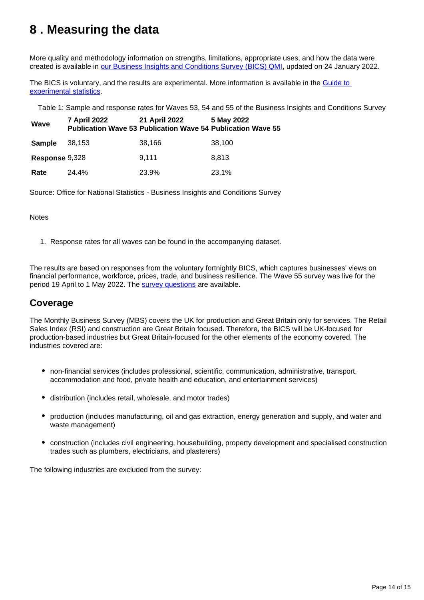# <span id="page-13-0"></span>**8 . Measuring the data**

More quality and methodology information on strengths, limitations, appropriate uses, and how the data were created is available in [our Business Insights and Conditions Survey \(BICS\) QMI,](https://www.ons.gov.uk/economy/economicoutputandproductivity/output/methodologies/businessinsightsandconditionssurveybicsqmi) updated on 24 January 2022.

The BICS is voluntary, and the results are experimental. More information is available in the [Guide to](https://www.ons.gov.uk/methodology/methodologytopicsandstatisticalconcepts/guidetoexperimentalstatistics)  [experimental statistics](https://www.ons.gov.uk/methodology/methodologytopicsandstatisticalconcepts/guidetoexperimentalstatistics).

Table 1: Sample and response rates for Waves 53, 54 and 55 of the Business Insights and Conditions Survey

| Wave           | 7 April 2022 | 21 April 2022<br><b>Publication Wave 53 Publication Wave 54 Publication Wave 55</b> | 5 May 2022 |
|----------------|--------------|-------------------------------------------------------------------------------------|------------|
| Sample         | 38,153       | 38,166                                                                              | 38,100     |
| Response 9,328 |              | 9.111                                                                               | 8.813      |
| Rate           | 24.4%        | 23.9%                                                                               | 23.1%      |

Source: Office for National Statistics - Business Insights and Conditions Survey

### **Notes**

1. Response rates for all waves can be found in the accompanying dataset.

The results are based on responses from the voluntary fortnightly BICS, which captures businesses' views on financial performance, workforce, prices, trade, and business resilience. The Wave 55 survey was live for the period 19 April to 1 May 2022. The [survey questions](https://www.ons.gov.uk/peoplepopulationandcommunity/healthandsocialcare/conditionsanddiseases/articles/businessimpactofcovid19surveyquestions/latest) are available.

## **Coverage**

The Monthly Business Survey (MBS) covers the UK for production and Great Britain only for services. The Retail Sales Index (RSI) and construction are Great Britain focused. Therefore, the BICS will be UK-focused for production-based industries but Great Britain-focused for the other elements of the economy covered. The industries covered are:

- non-financial services (includes professional, scientific, communication, administrative, transport, accommodation and food, private health and education, and entertainment services)
- distribution (includes retail, wholesale, and motor trades)
- production (includes manufacturing, oil and gas extraction, energy generation and supply, and water and waste management)
- construction (includes civil engineering, housebuilding, property development and specialised construction trades such as plumbers, electricians, and plasterers)

The following industries are excluded from the survey: